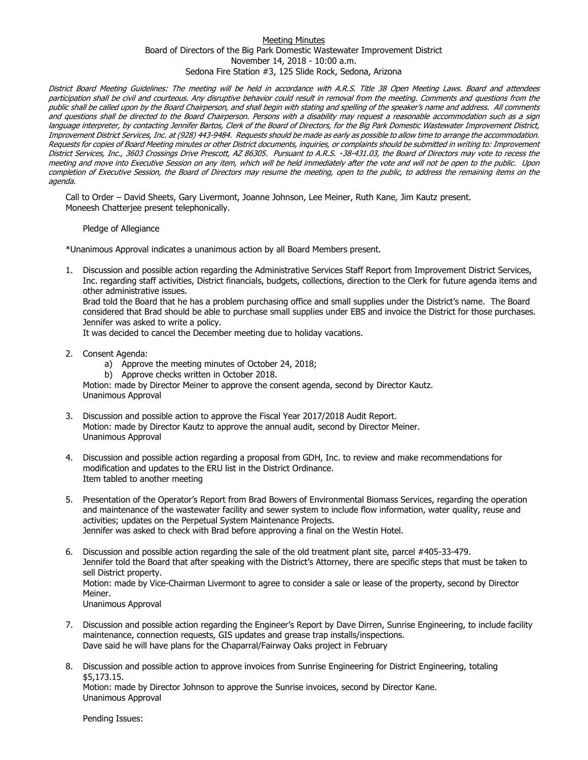## Meeting Minutes Board of Directors of the Big Park Domestic Wastewater Improvement District November 14, 2018 - 10:00 a.m. Sedona Fire Station #3, 125 Slide Rock, Sedona, Arizona

District Board Meeting Guidelines: The meeting will be held in accordance with A.R.S. Title 38 Open Meeting Laws. Board and attendees participation shall be civil and courteous. Any disruptive behavior could result in removal from the meeting. Comments and questions from the public shall be called upon by the Board Chairperson, and shall begin with stating and spelling of the speaker's name and address. All comments and questions shall be directed to the Board Chairperson. Persons with a disability may request a reasonable accommodation such as a sign language interpreter, by contacting Jennifer Bartos, Clerk of the Board of Directors, for the Big Park Domestic Wastewater Improvement District, Improvement District Services, Inc. at (928) 443-9484. Requests should be made as early as possible to allow time to arrange the accommodation. Requests for copies of Board Meeting minutes or other District documents, inquiries, or complaints should be submitted in writing to: Improvement District Services, Inc., 3603 Crossings Drive Prescott, AZ 86305. Pursuant to A.R.S. 38-431.03, the Board of Directors may vote to recess the meeting and move into Executive Session on any item, which will be held immediately after the vote and will not be open to the public. Upon completion of Executive Session, the Board of Directors may resume the meeting, open to the public, to address the remaining items on the agenda.

Call to Order – David Sheets, Gary Livermont, Joanne Johnson, Lee Meiner, Ruth Kane, Jim Kautz present. Moneesh Chatterjee present telephonically.

Pledge of Allegiance

\*Unanimous Approval indicates a unanimous action by all Board Members present.

1. Discussion and possible action regarding the Administrative Services Staff Report from Improvement District Services, Inc. regarding staff activities, District financials, budgets, collections, direction to the Clerk for future agenda items and other administrative issues.

Brad told the Board that he has a problem purchasing office and small supplies under the District's name. The Board considered that Brad should be able to purchase small supplies under EBS and invoice the District for those purchases. Jennifer was asked to write a policy.

It was decided to cancel the December meeting due to holiday vacations.

- 2. Consent Agenda:
	- a) Approve the meeting minutes of October 24, 2018;
	- b) Approve checks written in October 2018.

Motion: made by Director Meiner to approve the consent agenda, second by Director Kautz. Unanimous Approval

- 3. Discussion and possible action to approve the Fiscal Year 2017/2018 Audit Report. Motion: made by Director Kautz to approve the annual audit, second by Director Meiner. Unanimous Approval
- 4. Discussion and possible action regarding a proposal from GDH, Inc. to review and make recommendations for modification and updates to the ERU list in the District Ordinance. Item tabled to another meeting
- 5. Presentation of the Operator's Report from Brad Bowers of Environmental Biomass Services, regarding the operation and maintenance of the wastewater facility and sewer system to include flow information, water quality, reuse and activities; updates on the Perpetual System Maintenance Projects. Jennifer was asked to check with Brad before approving a final on the Westin Hotel.
- 6. Discussion and possible action regarding the sale of the old treatment plant site, parcel #405-33-479. Jennifer told the Board that after speaking with the District's Attorney, there are specific steps that must be taken to sell District property. Motion: made by Vice-Chairman Livermont to agree to consider a sale or lease of the property, second by Director Meiner. Unanimous Approval
- 7. Discussion and possible action regarding the Engineer's Report by Dave Dirren, Sunrise Engineering, to include facility maintenance, connection requests, GIS updates and grease trap installs/inspections. Dave said he will have plans for the Chaparral/Fairway Oaks project in February
- 8. Discussion and possible action to approve invoices from Sunrise Engineering for District Engineering, totaling \$5,173.15. Motion: made by Director Johnson to approve the Sunrise invoices, second by Director Kane. Unanimous Approval

Pending Issues: